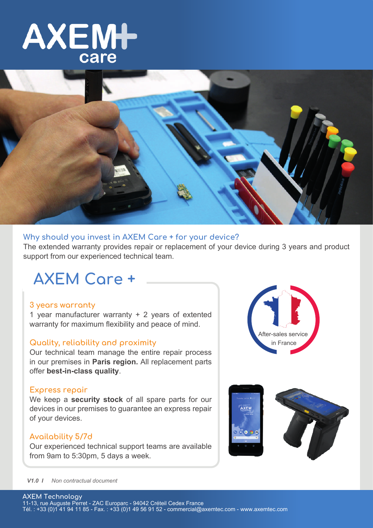



## **Why should you invest in AXEM Care + for your device?**

The extended warranty provides repair or replacement of your device during 3 years and product support from our experienced technical team.

## **AXEM Care +**

## **3 years warranty**

1 year manufacturer warranty + 2 years of extented warranty for maximum flexibility and peace of mind.

### **Quality, reliability and proximity**

Our technical team manage the entire repair process in our premises in **Paris region.** All replacement parts offer **best-in-class quality**.

### **Express repair**

We keep a **security stock** of all spare parts for our devices in our premises to guarantee an express repair of your devices.

## **Availability 5/7d**

Our experienced technical support teams are available from 9am to 5:30pm, 5 days a week.





### *V1.0 I Non contractual document*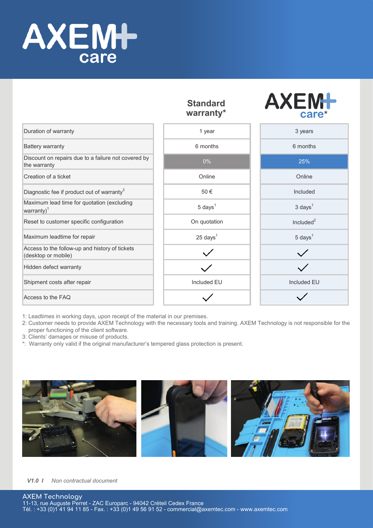

|                                                                       | əlandard<br>warranty* | care*              |
|-----------------------------------------------------------------------|-----------------------|--------------------|
| Duration of warranty                                                  | 1 year                | 3 years            |
| <b>Battery warranty</b>                                               | 6 months              | 6 months           |
| Discount on repairs due to a failure not covered by<br>the warranty   | $0\%$                 | 25%                |
| Creation of a ticket                                                  | Online                | Online             |
| Diagnostic fee if product out of warranty <sup>3</sup>                | 50€                   | Included           |
| Maximum lead time for quotation (excluding<br>warranty) $1$           | $5 \text{ days}^1$    | $3 \text{ days}^1$ |
| Reset to customer specific configuration                              | On quotation          | Included $2$       |
| Maximum leadtime for repair                                           | $25 \text{ days}^1$   | $5 \text{ days}^1$ |
| Access to the follow-up and history of tickets<br>(desktop or mobile) |                       |                    |
| Hidden defect warranty                                                |                       |                    |
| Shipment costs after repair                                           | Included EU           | <b>Included EU</b> |
| Access to the FAQ                                                     |                       |                    |

# **Standard**

**AYEML** 

1: Leadtimes in working days, upon receipt of the material in our premises.

2: Customer needs to provide AXEM Technology with the necessary tools and training. AXEM Technology is not responsible for the proper functioning of the client software.

3: Clients' damages or misuse of products.

\*: Warranty only valid if the original manufacturer's tempered glass protection is present.



*V1.0 I Non contractual document*